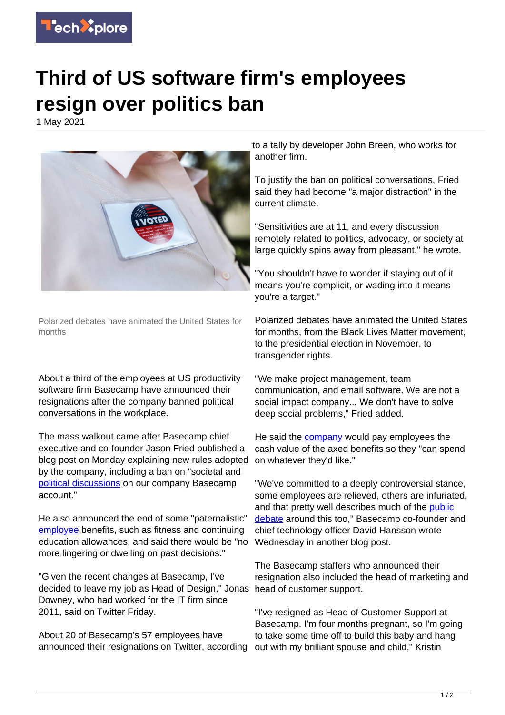

## **Third of US software firm's employees resign over politics ban**

1 May 2021



Polarized debates have animated the United States for months

About a third of the employees at US productivity software firm Basecamp have announced their resignations after the company banned political conversations in the workplace.

The mass walkout came after Basecamp chief executive and co-founder Jason Fried published a blog post on Monday explaining new rules adopted by the company, including a ban on "societal and [political discussions](https://techxplore.com/tags/political+discussions/) on our company Basecamp account."

He also announced the end of some "paternalistic" [employee](https://techxplore.com/tags/employee/) benefits, such as fitness and continuing education allowances, and said there would be "no more lingering or dwelling on past decisions."

"Given the recent changes at Basecamp, I've decided to leave my job as Head of Design," Jonas Downey, who had worked for the IT firm since 2011, said on Twitter Friday.

About 20 of Basecamp's 57 employees have announced their resignations on Twitter, according

to a tally by developer John Breen, who works for another firm.

To justify the ban on political conversations, Fried said they had become "a major distraction" in the current climate.

"Sensitivities are at 11, and every discussion remotely related to politics, advocacy, or society at large quickly spins away from pleasant," he wrote.

"You shouldn't have to wonder if staying out of it means you're complicit, or wading into it means you're a target."

Polarized debates have animated the United States for months, from the Black Lives Matter movement, to the presidential election in November, to transgender rights.

"We make project management, team communication, and email software. We are not a social impact company... We don't have to solve deep social problems," Fried added.

He said the **company** would pay employees the cash value of the axed benefits so they "can spend on whatever they'd like."

"We've committed to a deeply controversial stance, some employees are relieved, others are infuriated, and that pretty well describes much of the [public](https://techxplore.com/tags/public+debate/) [debate](https://techxplore.com/tags/public+debate/) around this too," Basecamp co-founder and chief technology officer David Hansson wrote Wednesday in another blog post.

The Basecamp staffers who announced their resignation also included the head of marketing and head of customer support.

"I've resigned as Head of Customer Support at Basecamp. I'm four months pregnant, so I'm going to take some time off to build this baby and hang out with my brilliant spouse and child," Kristin